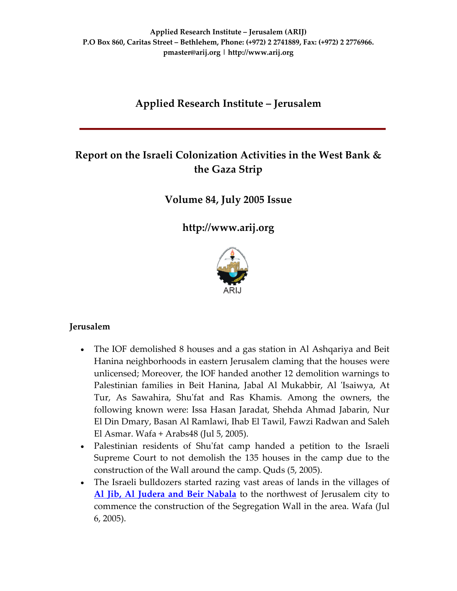## **Applied Research Institute – Jerusalem**

# **Report on the Israeli Colonization Activities in the West Bank & the Gaza Strip**

**Volume 84, July 2005 Issue**

**[http://www.arij.org](http://www.arij.org/)**



### **Jerusalem**

- The IOF demolished 8 houses and a gas station in Al Ashqariya and Beit Hanina neighborhoods in eastern Jerusalem claming that the houses were unlicensed; Moreover, the IOF handed another 12 demolition warnings to Palestinian families in Beit Hanina, Jabal Al Mukabbir, Al 'Isaiwya, At Tur, As Sawahira, Shuʹfat and Ras Khamis. Among the owners, the following known were: Issa Hasan Jaradat, Shehda Ahmad Jabarin, Nur El Din Dmary, Basan Al Ramlawi, Ihab El Tawil, Fawzi Radwan and Saleh El Asmar. Wafa + Arabs48 (Jul 5, 2005).
- Palestinian residents of Shu'fat camp handed a petition to the Israeli Supreme Court to not demolish the 135 houses in the camp due to the construction of the Wall around the camp. Quds (5, 2005).
- The Israeli bulldozers started razing vast areas of lands in the villages of **Al Jib, Al Judera and Beir [Nabala](http://www.poica.org/editor/case_studies/view.php?recordID=566)** to the northwest of Jerusalem city to commence the construction of the Segregation Wall in the area. Wafa (Jul 6, 2005).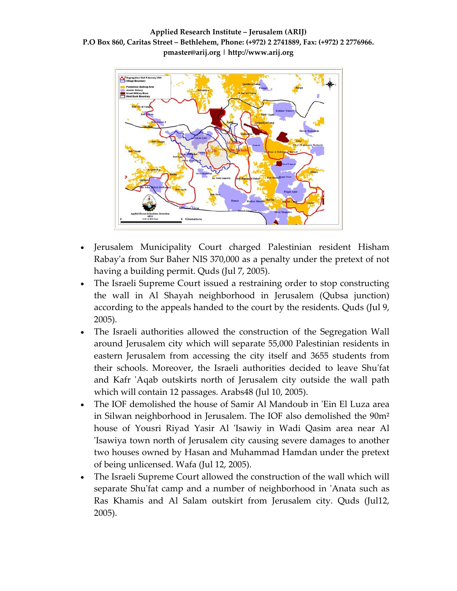

- Jerusalem Municipality Court charged Palestinian resident Hisham Rabayʹa from Sur Baher NIS 370,000 as a penalty under the pretext of not having a building permit. Quds (Jul 7, 2005).
- The Israeli Supreme Court issued a restraining order to stop constructing the wall in Al Shayah neighborhood in Jerusalem (Qubsa junction) according to the appeals handed to the court by the residents. Quds (Jul 9, 2005).
- The Israeli authorities allowed the construction of the Segregation Wall around Jerusalem city which will separate 55,000 Palestinian residents in eastern Jerusalem from accessing the city itself and 3655 students from their schools. Moreover, the Israeli authorities decided to leave Shuʹfat and Kafr ʹAqab outskirts north of Jerusalem city outside the wall path which will contain 12 passages. Arabs48 (Jul 10, 2005).
- The IOF demolished the house of Samir Al Mandoub in ʹEin El Luza area in Silwan neighborhood in Jerusalem. The IOF also demolished the 90m² house of Yousri Riyad Yasir Al 'Isawiy in Wadi Qasim area near Al ʹIsawiya town north of Jerusalem city causing severe damages to another two houses owned by Hasan and Muhammad Hamdan under the pretext of being unlicensed. Wafa (Jul 12, 2005).
- The Israeli Supreme Court allowed the construction of the wall which will separate Shu'fat camp and a number of neighborhood in 'Anata such as Ras Khamis and Al Salam outskirt from Jerusalem city. Quds (Jul12, 2005).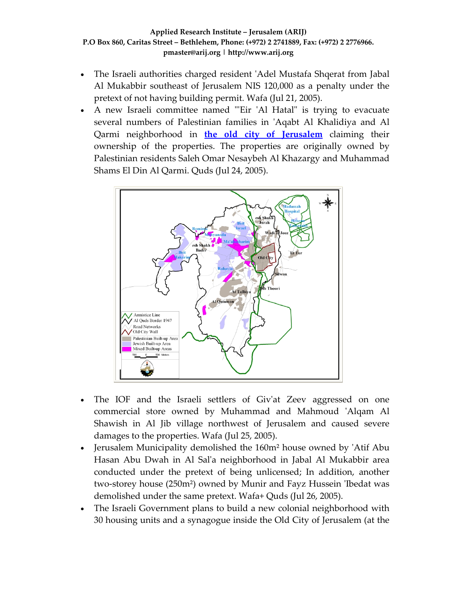- The Israeli authorities charged resident 'Adel Mustafa Shqerat from Jabal Al Mukabbir southeast of Jerusalem NIS 120,000 as a penalty under the pretext of not having building permit. Wafa (Jul 21, 2005).
- A new Israeli committee named "'Eir 'Al Hatal" is trying to evacuate several numbers of Palestinian families in ʹAqabt Al Khalidiya and Al Qarmi neighborhood in **the old city of [Jerusalem](http://www.poica.org/editor/case_studies/view.php?recordID=625)** claiming their ownership of the properties. The properties are originally owned by Palestinian residents Saleh Omar Nesaybeh Al Khazargy and Muhammad Shams El Din Al Qarmi. Quds (Jul 24, 2005).



- The IOF and the Israeli settlers of Giv'at Zeev aggressed on one commercial store owned by Muhammad and Mahmoud ʹAlqam Al Shawish in Al Jib village northwest of Jerusalem and caused severe damages to the properties. Wafa (Jul 25, 2005).
- Jerusalem Municipality demolished the 160m² house owned by ʹAtif Abu Hasan Abu Dwah in Al Salʹa neighborhood in Jabal Al Mukabbir area conducted under the pretext of being unlicensed; In addition, another two-storey house (250m<sup>2</sup>) owned by Munir and Fayz Hussein 'Ibedat was demolished under the same pretext. Wafa+ Quds (Jul 26, 2005).
- The Israeli Government plans to build a new colonial neighborhood with 30 housing units and a synagogue inside the Old City of Jerusalem (at the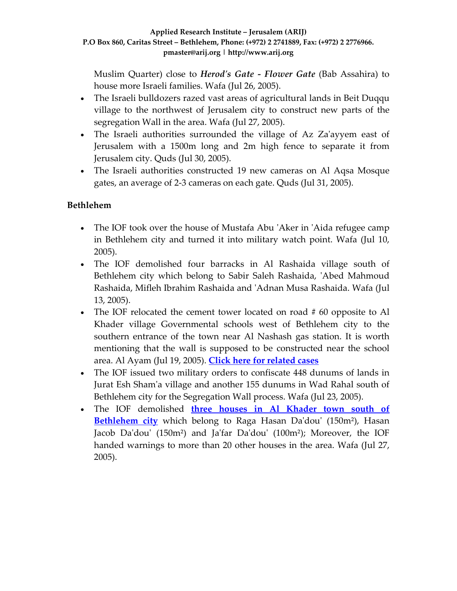Muslim Quarter) close to *Herodʹs Gate ‐ Flower Gate* (Bab Assahira) to house more Israeli families. Wafa (Jul 26, 2005).

- The Israeli bulldozers razed vast areas of agricultural lands in Beit Duqqu village to the northwest of Jerusalem city to construct new parts of the segregation Wall in the area. Wafa (Jul 27, 2005).
- The Israeli authorities surrounded the village of Az Za'ayyem east of Jerusalem with a 1500m long and 2m high fence to separate it from Jerusalem city. Quds (Jul 30, 2005).
- The Israeli authorities constructed 19 new cameras on Al Aqsa Mosque gates, an average of 2‐3 cameras on each gate. Quds (Jul 31, 2005).

## **Bethlehem**

- The IOF took over the house of Mustafa Abu 'Aker in 'Aida refugee camp in Bethlehem city and turned it into military watch point. Wafa (Jul 10, 2005).
- The IOF demolished four barracks in Al Rashaida village south of Bethlehem city which belong to Sabir Saleh Rashaida, 'Abed Mahmoud Rashaida, Mifleh Ibrahim Rashaida and ʹAdnan Musa Rashaida. Wafa (Jul 13, 2005).
- The IOF relocated the cement tower located on road #60 opposite to Al Khader village Governmental schools west of Bethlehem city to the southern entrance of the town near Al Nashash gas station. It is worth mentioning that the wall is supposed to be constructed near the school area. Al Ayam (Jul 19, 2005). **Click here for [related](http://www.poica.org/editor/case_studies/view.php?recordID=572) cases**
- The IOF issued two military orders to confiscate 448 dunums of lands in Jurat Esh Shamʹa village and another 155 dunums in Wad Rahal south of Bethlehem city for the Segregation Wall process. Wafa (Jul 23, 2005).
- The IOF demolished **three houses in Al [Khader](http://www.poica.org/editor/case_studies/view.php?recordID=642) town south of [Bethlehem](http://www.poica.org/editor/case_studies/view.php?recordID=642) city** which belong to Raga Hasan Da'dou' (150m<sup>2</sup>), Hasan Jacob Da'dou' (150m<sup>2</sup>) and Ja'far Da'dou' (100m<sup>2</sup>); Moreover, the IOF handed warnings to more than 20 other houses in the area. Wafa (Jul 27, 2005).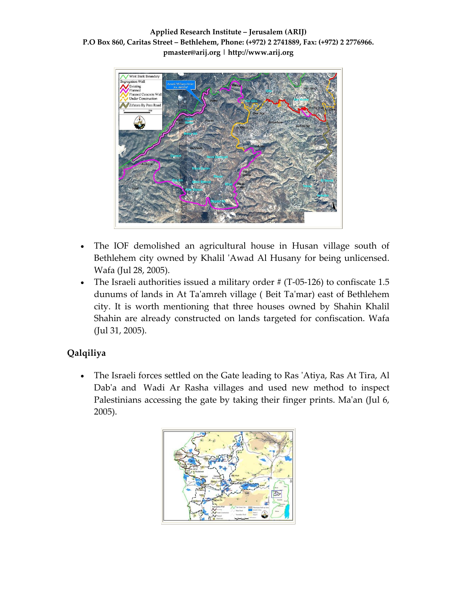

- The IOF demolished an agricultural house in Husan village south of Bethlehem city owned by Khalil 'Awad Al Husany for being unlicensed. Wafa (Jul 28, 2005).
- The Israeli authorities issued a military order  $\#$  (T-05-126) to confiscate 1.5 dunums of lands in At Taʹamreh village ( Beit Taʹmar) east of Bethlehem city. It is worth mentioning that three houses owned by Shahin Khalil Shahin are already constructed on lands targeted for confiscation. Wafa (Jul 31, 2005).

## **Qalqiliya**

• The Israeli forces settled on the Gate leading to Ras 'Atiya, Ras At Tira, Al Dab'a and Wadi Ar Rasha villages and used new method to inspect Palestinians accessing the gate by taking their finger prints. Ma'an (Jul 6, 2005).

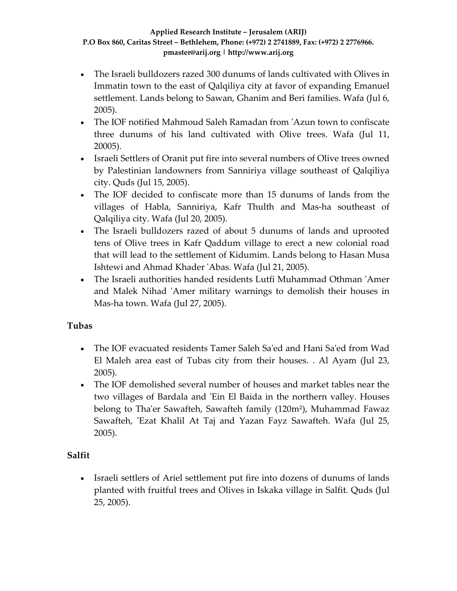- The Israeli bulldozers razed 300 dunums of lands cultivated with Olives in Immatin town to the east of Qalqiliya city at favor of expanding Emanuel settlement. Lands belong to Sawan, Ghanim and Beri families. Wafa (Jul 6, 2005).
- The IOF notified Mahmoud Saleh Ramadan from 'Azun town to confiscate three dunums of his land cultivated with Olive trees. Wafa (Jul 11, 20005).
- Israeli Settlers of Oranit put fire into several numbers of Olive trees owned by Palestinian landowners from Sanniriya village southeast of Qalqiliya city. Quds (Jul 15, 2005).
- The IOF decided to confiscate more than 15 dunums of lands from the villages of Habla, Sanniriya, Kafr Thulth and Mas‐ha southeast of Qalqiliya city. Wafa (Jul 20, 2005).
- The Israeli bulldozers razed of about 5 dunums of lands and uprooted tens of Olive trees in Kafr Qaddum village to erect a new colonial road that will lead to the settlement of Kidumim. Lands belong to Hasan Musa Ishtewi and Ahmad Khader ʹAbas. Wafa (Jul 21, 2005).
- The Israeli authorities handed residents Lutfi Muhammad Othman ʹAmer and Malek Nihad 'Amer military warnings to demolish their houses in Mas‐ha town. Wafa (Jul 27, 2005).

## **Tubas**

- The IOF evacuated residents Tamer Saleh Saʹed and Hani Saʹed from Wad El Maleh area east of Tubas city from their houses. . Al Ayam (Jul 23, 2005).
- The IOF demolished several number of houses and market tables near the two villages of Bardala and 'Ein El Baida in the northern valley. Houses belong to Tha'er Sawafteh, Sawafteh family (120m<sup>2</sup>), Muhammad Fawaz Sawafteh, 'Ezat Khalil At Taj and Yazan Fayz Sawafteh. Wafa (Jul 25, 2005).

## **Salfit**

• Israeli settlers of Ariel settlement put fire into dozens of dunums of lands planted with fruitful trees and Olives in Iskaka village in Salfit. Quds (Jul 25, 2005).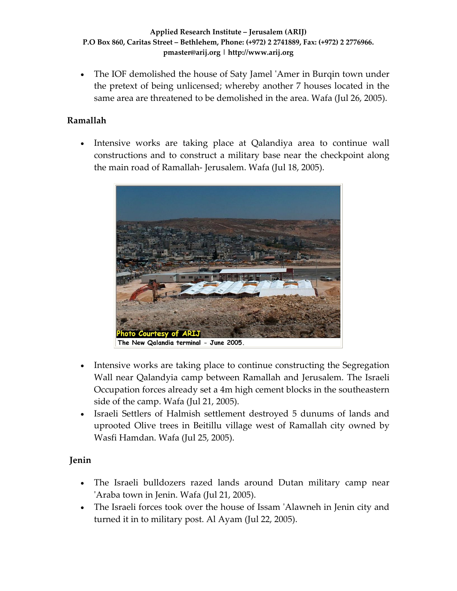• The IOF demolished the house of Saty Jamel ʹAmer in Burqin town under the pretext of being unlicensed; whereby another 7 houses located in the same area are threatened to be demolished in the area. Wafa (Jul 26, 2005).

## **Ramallah**

• Intensive works are taking place at Qalandiya area to continue wall constructions and to construct a military base near the checkpoint along the main road of Ramallah‐ Jerusalem. Wafa (Jul 18, 2005).



- Intensive works are taking place to continue constructing the Segregation Wall near Qalandyia camp between Ramallah and Jerusalem. The Israeli Occupation forces already set a 4m high cement blocks in the southeastern side of the camp. Wafa (Jul 21, 2005).
- Israeli Settlers of Halmish settlement destroyed 5 dunums of lands and uprooted Olive trees in Beitillu village west of Ramallah city owned by Wasfi Hamdan. Wafa (Jul 25, 2005).

### **Jenin**

- The Israeli bulldozers razed lands around Dutan military camp near ʹAraba town in Jenin. Wafa (Jul 21, 2005).
- The Israeli forces took over the house of Issam 'Alawneh in Jenin city and turned it in to military post. Al Ayam (Jul 22, 2005).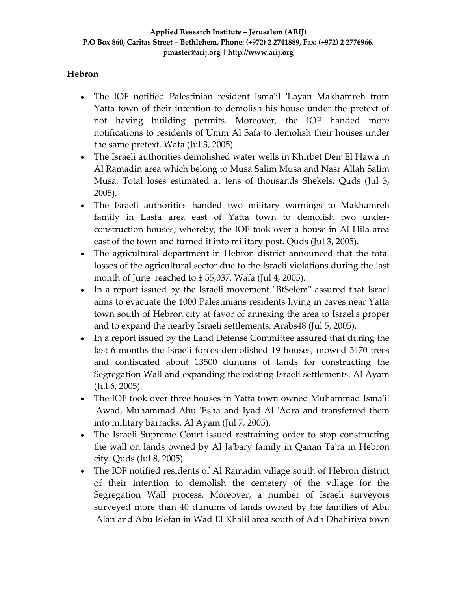## **Hebron**

- The IOF notified Palestinian resident Isma'il 'Layan Makhamreh from Yatta town of their intention to demolish his house under the pretext of not having building permits. Moreover, the IOF handed more notifications to residents of Umm Al Safa to demolish their houses under the same pretext. Wafa (Jul 3, 2005).
- The Israeli authorities demolished water wells in Khirbet Deir El Hawa in Al Ramadin area which belong to Musa Salim Musa and Nasr Allah Salim Musa. Total loses estimated at tens of thousands Shekels. Quds (Jul 3, 2005).
- The Israeli authorities handed two military warnings to Makhamreh family in Lasfa area east of Yatta town to demolish two under‐ construction houses; whereby, the IOF took over a house in Al Hila area east of the town and turned it into military post. Quds (Jul 3, 2005).
- The agricultural department in Hebron district announced that the total losses of the agricultural sector due to the Israeli violations during the last month of June reached to \$ 55,037. Wafa (Jul 4, 2005).
- In a report issued by the Israeli movement "BtSelem" assured that Israel aims to evacuate the 1000 Palestinians residents living in caves near Yatta town south of Hebron city at favor of annexing the area to Israelʹs proper and to expand the nearby Israeli settlements. Arabs48 (Jul 5, 2005).
- In a report issued by the Land Defense Committee assured that during the last 6 months the Israeli forces demolished 19 houses, mowed 3470 trees and confiscated about 13500 dunums of lands for constructing the Segregation Wall and expanding the existing Israeli settlements. Al Ayam (Jul 6, 2005).
- The IOF took over three houses in Yatta town owned Muhammad Isma'il 'Awad, Muhammad Abu 'Esha and Iyad Al 'Adra and transferred them into military barracks. Al Ayam (Jul 7, 2005).
- The Israeli Supreme Court issued restraining order to stop constructing the wall on lands owned by Al Jaʹbary family in Qanan Taʹra in Hebron city. Quds (Jul 8, 2005).
- The IOF notified residents of Al Ramadin village south of Hebron district of their intention to demolish the cemetery of the village for the Segregation Wall process. Moreover, a number of Israeli surveyors surveyed more than 40 dunums of lands owned by the families of Abu ʹAlan and Abu Isʹefan in Wad El Khalil area south of Adh Dhahiriya town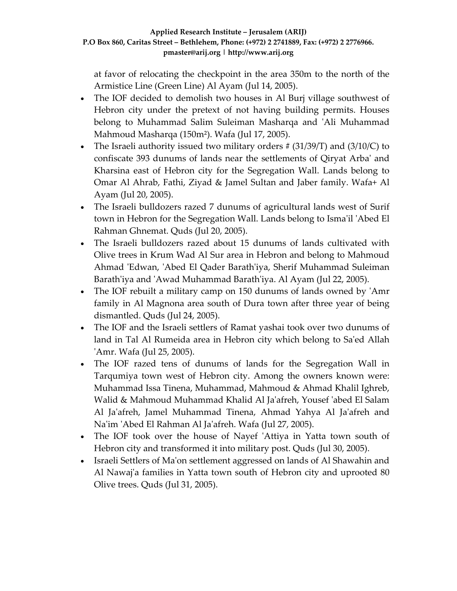at favor of relocating the checkpoint in the area 350m to the north of the Armistice Line (Green Line) Al Ayam (Jul 14, 2005).

- The IOF decided to demolish two houses in Al Burj village southwest of Hebron city under the pretext of not having building permits. Houses belong to Muhammad Salim Suleiman Masharqa and ʹAli Muhammad Mahmoud Masharqa (150m²). Wafa (Jul 17, 2005).
- The Israeli authority issued two military orders  $\#$  (31/39/T) and (3/10/C) to confiscate 393 dunums of lands near the settlements of Qiryat Arbaʹ and Kharsina east of Hebron city for the Segregation Wall. Lands belong to Omar Al Ahrab, Fathi, Ziyad & Jamel Sultan and Jaber family. Wafa+ Al Ayam (Jul 20, 2005).
- The Israeli bulldozers razed 7 dunums of agricultural lands west of Surif town in Hebron for the Segregation Wall. Lands belong to Ismaʹil ʹAbed El Rahman Ghnemat. Quds (Jul 20, 2005).
- The Israeli bulldozers razed about 15 dunums of lands cultivated with Olive trees in Krum Wad Al Sur area in Hebron and belong to Mahmoud Ahmad ʹEdwan, ʹAbed El Qader Barathʹiya, Sherif Muhammad Suleiman Barath'iya and 'Awad Muhammad Barath'iya. Al Ayam (Jul 22, 2005).
- The IOF rebuilt a military camp on 150 dunums of lands owned by 'Amr family in Al Magnona area south of Dura town after three year of being dismantled. Quds (Jul 24, 2005).
- The IOF and the Israeli settlers of Ramat yashai took over two dunums of land in Tal Al Rumeida area in Hebron city which belong to Sa'ed Allah ʹAmr. Wafa (Jul 25, 2005).
- The IOF razed tens of dunums of lands for the Segregation Wall in Tarqumiya town west of Hebron city. Among the owners known were: Muhammad Issa Tinena, Muhammad, Mahmoud & Ahmad Khalil Ighreb, Walid & Mahmoud Muhammad Khalid Al Jaʹafreh, Yousef ʹabed El Salam Al Ja'afreh, Jamel Muhammad Tinena, Ahmad Yahya Al Ja'afreh and Naʹim ʹAbed El Rahman Al Jaʹafreh. Wafa (Jul 27, 2005).
- The IOF took over the house of Nayef 'Attiya in Yatta town south of Hebron city and transformed it into military post. Quds (Jul 30, 2005).
- Israeli Settlers of Ma'on settlement aggressed on lands of Al Shawahin and Al Nawaj'a families in Yatta town south of Hebron city and uprooted 80 Olive trees. Quds (Jul 31, 2005).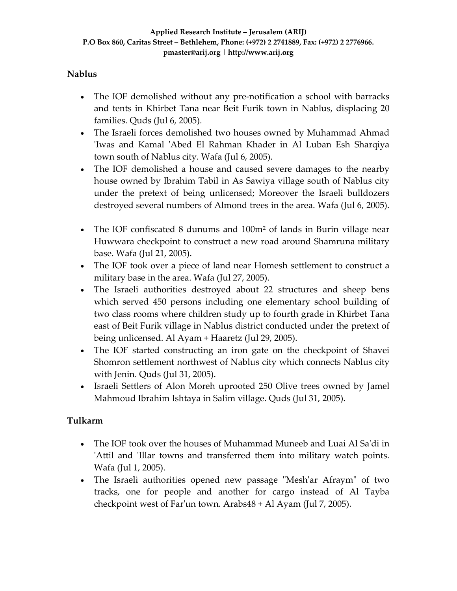### **Nablus**

- The IOF demolished without any pre-notification a school with barracks and tents in Khirbet Tana near Beit Furik town in Nablus, displacing 20 families. Quds (Jul 6, 2005).
- The Israeli forces demolished two houses owned by Muhammad Ahmad 'Iwas and Kamal 'Abed El Rahman Khader in Al Luban Esh Sharqiya town south of Nablus city. Wafa (Jul 6, 2005).
- The IOF demolished a house and caused severe damages to the nearby house owned by Ibrahim Tabil in As Sawiya village south of Nablus city under the pretext of being unlicensed; Moreover the Israeli bulldozers destroyed several numbers of Almond trees in the area. Wafa (Jul 6, 2005).
- The IOF confiscated 8 dunums and 100m² of lands in Burin village near Huwwara checkpoint to construct a new road around Shamruna military base. Wafa (Jul 21, 2005).
- The IOF took over a piece of land near Homesh settlement to construct a military base in the area. Wafa (Jul 27, 2005).
- The Israeli authorities destroyed about 22 structures and sheep bens which served 450 persons including one elementary school building of two class rooms where children study up to fourth grade in Khirbet Tana east of Beit Furik village in Nablus district conducted under the pretext of being unlicensed. Al Ayam + Haaretz (Jul 29, 2005).
- The IOF started constructing an iron gate on the checkpoint of Shavei Shomron settlement northwest of Nablus city which connects Nablus city with Jenin. Quds (Jul 31, 2005).
- Israeli Settlers of Alon Moreh uprooted 250 Olive trees owned by Jamel Mahmoud Ibrahim Ishtaya in Salim village. Quds (Jul 31, 2005).

### **Tulkarm**

- The IOF took over the houses of Muhammad Muneeb and Luai Al Sa'di in 'Attil and 'Illar towns and transferred them into military watch points. Wafa (Jul 1, 2005).
- The Israeli authorities opened new passage "Mesh'ar Afraym" of two tracks, one for people and another for cargo instead of Al Tayba checkpoint west of Farʹun town. Arabs48 + Al Ayam (Jul 7, 2005).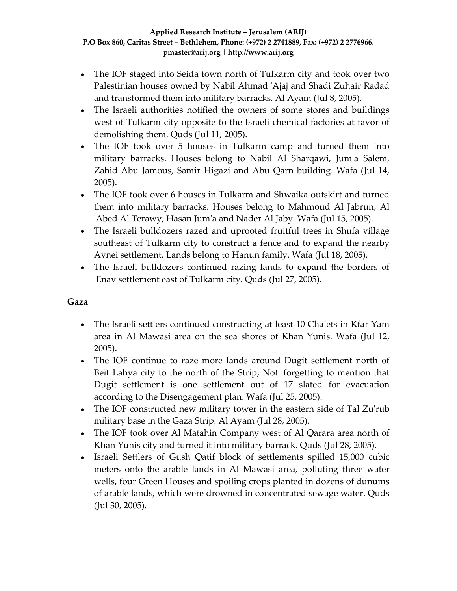- The IOF staged into Seida town north of Tulkarm city and took over two Palestinian houses owned by Nabil Ahmad ʹAjaj and Shadi Zuhair Radad and transformed them into military barracks. Al Ayam (Jul 8, 2005).
- The Israeli authorities notified the owners of some stores and buildings west of Tulkarm city opposite to the Israeli chemical factories at favor of demolishing them. Quds (Jul 11, 2005).
- The IOF took over 5 houses in Tulkarm camp and turned them into military barracks. Houses belong to Nabil Al Sharqawi, Jum'a Salem, Zahid Abu Jamous, Samir Higazi and Abu Qarn building. Wafa (Jul 14, 2005).
- The IOF took over 6 houses in Tulkarm and Shwaika outskirt and turned them into military barracks. Houses belong to Mahmoud Al Jabrun, Al ʹAbed Al Terawy, Hasan Jumʹa and Nader Al Jaby. Wafa (Jul 15, 2005).
- The Israeli bulldozers razed and uprooted fruitful trees in Shufa village southeast of Tulkarm city to construct a fence and to expand the nearby Avnei settlement. Lands belong to Hanun family. Wafa (Jul 18, 2005).
- The Israeli bulldozers continued razing lands to expand the borders of ʹEnav settlement east of Tulkarm city. Quds (Jul 27, 2005).

### **Gaza**

- The Israeli settlers continued constructing at least 10 Chalets in Kfar Yam area in Al Mawasi area on the sea shores of Khan Yunis. Wafa (Jul 12, 2005).
- The IOF continue to raze more lands around Dugit settlement north of Beit Lahya city to the north of the Strip; Not forgetting to mention that Dugit settlement is one settlement out of 17 slated for evacuation according to the Disengagement plan. Wafa (Jul 25, 2005).
- The IOF constructed new military tower in the eastern side of Tal Zu'rub military base in the Gaza Strip. Al Ayam (Jul 28, 2005).
- The IOF took over Al Matahin Company west of Al Qarara area north of Khan Yunis city and turned it into military barrack. Quds (Jul 28, 2005).
- Israeli Settlers of Gush Qatif block of settlements spilled 15,000 cubic meters onto the arable lands in Al Mawasi area, polluting three water wells, four Green Houses and spoiling crops planted in dozens of dunums of arable lands, which were drowned in concentrated sewage water. Quds (Jul 30, 2005).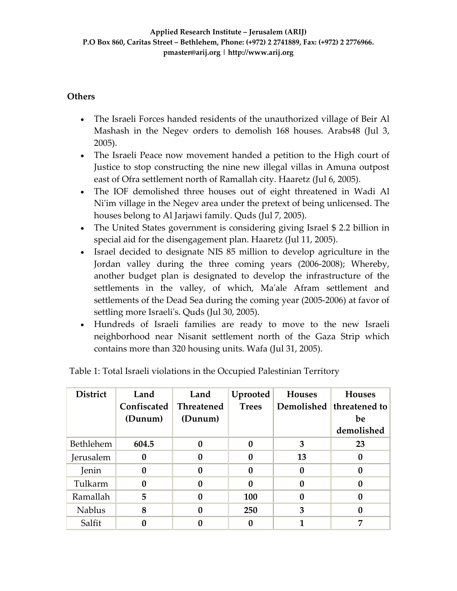### **Others**

- The Israeli Forces handed residents of the unauthorized village of Beir Al Mashash in the Negev orders to demolish 168 houses. Arabs48 (Jul 3, 2005).
- The Israeli Peace now movement handed a petition to the High court of Justice to stop constructing the nine new illegal villas in Amuna outpost east of Ofra settlement north of Ramallah city. Haaretz (Jul 6, 2005).
- The IOF demolished three houses out of eight threatened in Wadi Al Ni'im village in the Negev area under the pretext of being unlicensed. The houses belong to Al Jarjawi family. Quds (Jul 7, 2005).
- The United States government is considering giving Israel \$2.2 billion in special aid for the disengagement plan. Haaretz (Jul 11, 2005).
- Israel decided to designate NIS 85 million to develop agriculture in the Jordan valley during the three coming years (2006‐2008); Whereby, another budget plan is designated to develop the infrastructure of the settlements in the valley, of which, Ma'ale Afram settlement and settlements of the Dead Sea during the coming year (2005‐2006) at favor of settling more Israeli's. Quds (Jul 30, 2005).
- Hundreds of Israeli families are ready to move to the new Israeli neighborhood near Nisanit settlement north of the Gaza Strip which contains more than 320 housing units. Wafa (Jul 31, 2005).

| <b>District</b> | Land        | Land              | Uprooted     | <b>Houses</b> | <b>Houses</b>    |
|-----------------|-------------|-------------------|--------------|---------------|------------------|
|                 | Confiscated | <b>Threatened</b> | <b>Trees</b> | Demolished    | threatened to    |
|                 | (Dunum)     | (Dunum)           |              |               | be               |
|                 |             |                   |              |               | demolished       |
| Bethlehem       | 604.5       | 0                 | 0            | 3             | 23               |
| Jerusalem       |             | 0                 |              | 13            | $\mathbf{0}$     |
| Jenin           |             | 0                 | 0            | 0             | $\boldsymbol{0}$ |
| Tulkarm         |             | 0                 |              |               | $\boldsymbol{0}$ |
| Ramallah        | 5           |                   | 100          |               | $\boldsymbol{0}$ |
| <b>Nablus</b>   | 8           | $\bf{0}$          | 250          | 3             | $\mathbf{0}$     |
| Salfit          |             |                   |              |               | 7                |

Table 1: Total Israeli violations in the Occupied Palestinian Territory